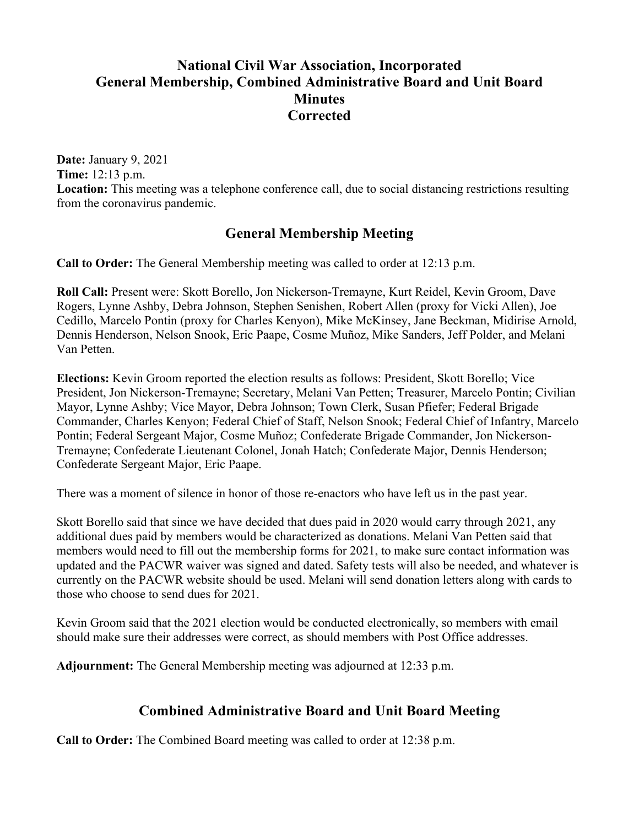# **National Civil War Association, Incorporated General Membership, Combined Administrative Board and Unit Board Minutes Corrected**

**Date:** January 9, 2021 **Time:** 12:13 p.m. **Location:** This meeting was a telephone conference call, due to social distancing restrictions resulting from the coronavirus pandemic.

### **General Membership Meeting**

**Call to Order:** The General Membership meeting was called to order at 12:13 p.m.

**Roll Call:** Present were: Skott Borello, Jon Nickerson-Tremayne, Kurt Reidel, Kevin Groom, Dave Rogers, Lynne Ashby, Debra Johnson, Stephen Senishen, Robert Allen (proxy for Vicki Allen), Joe Cedillo, Marcelo Pontin (proxy for Charles Kenyon), Mike McKinsey, Jane Beckman, Midirise Arnold, Dennis Henderson, Nelson Snook, Eric Paape, Cosme Muñoz, Mike Sanders, Jeff Polder, and Melani Van Petten.

**Elections:** Kevin Groom reported the election results as follows: President, Skott Borello; Vice President, Jon Nickerson-Tremayne; Secretary, Melani Van Petten; Treasurer, Marcelo Pontin; Civilian Mayor, Lynne Ashby; Vice Mayor, Debra Johnson; Town Clerk, Susan Pfiefer; Federal Brigade Commander, Charles Kenyon; Federal Chief of Staff, Nelson Snook; Federal Chief of Infantry, Marcelo Pontin; Federal Sergeant Major, Cosme Muñoz; Confederate Brigade Commander, Jon Nickerson-Tremayne; Confederate Lieutenant Colonel, Jonah Hatch; Confederate Major, Dennis Henderson; Confederate Sergeant Major, Eric Paape.

There was a moment of silence in honor of those re-enactors who have left us in the past year.

Skott Borello said that since we have decided that dues paid in 2020 would carry through 2021, any additional dues paid by members would be characterized as donations. Melani Van Petten said that members would need to fill out the membership forms for 2021, to make sure contact information was updated and the PACWR waiver was signed and dated. Safety tests will also be needed, and whatever is currently on the PACWR website should be used. Melani will send donation letters along with cards to those who choose to send dues for 2021.

Kevin Groom said that the 2021 election would be conducted electronically, so members with email should make sure their addresses were correct, as should members with Post Office addresses.

**Adjournment:** The General Membership meeting was adjourned at 12:33 p.m.

## **Combined Administrative Board and Unit Board Meeting**

**Call to Order:** The Combined Board meeting was called to order at 12:38 p.m.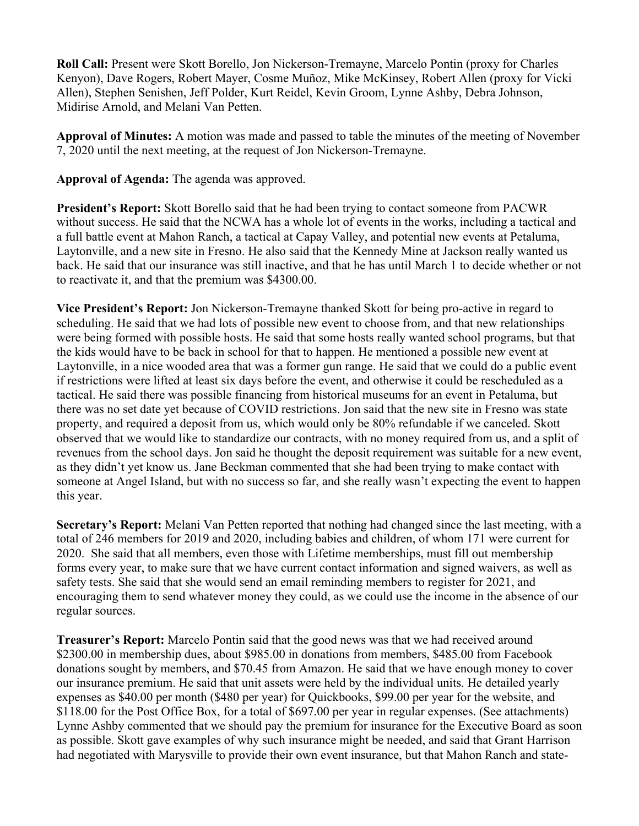**Roll Call:** Present were Skott Borello, Jon Nickerson-Tremayne, Marcelo Pontin (proxy for Charles Kenyon), Dave Rogers, Robert Mayer, Cosme Muñoz, Mike McKinsey, Robert Allen (proxy for Vicki Allen), Stephen Senishen, Jeff Polder, Kurt Reidel, Kevin Groom, Lynne Ashby, Debra Johnson, Midirise Arnold, and Melani Van Petten.

**Approval of Minutes:** A motion was made and passed to table the minutes of the meeting of November 7, 2020 until the next meeting, at the request of Jon Nickerson-Tremayne.

**Approval of Agenda:** The agenda was approved.

**President's Report:** Skott Borello said that he had been trying to contact someone from PACWR without success. He said that the NCWA has a whole lot of events in the works, including a tactical and a full battle event at Mahon Ranch, a tactical at Capay Valley, and potential new events at Petaluma, Laytonville, and a new site in Fresno. He also said that the Kennedy Mine at Jackson really wanted us back. He said that our insurance was still inactive, and that he has until March 1 to decide whether or not to reactivate it, and that the premium was \$4300.00.

**Vice President's Report:** Jon Nickerson-Tremayne thanked Skott for being pro-active in regard to scheduling. He said that we had lots of possible new event to choose from, and that new relationships were being formed with possible hosts. He said that some hosts really wanted school programs, but that the kids would have to be back in school for that to happen. He mentioned a possible new event at Laytonville, in a nice wooded area that was a former gun range. He said that we could do a public event if restrictions were lifted at least six days before the event, and otherwise it could be rescheduled as a tactical. He said there was possible financing from historical museums for an event in Petaluma, but there was no set date yet because of COVID restrictions. Jon said that the new site in Fresno was state property, and required a deposit from us, which would only be 80% refundable if we canceled. Skott observed that we would like to standardize our contracts, with no money required from us, and a split of revenues from the school days. Jon said he thought the deposit requirement was suitable for a new event, as they didn't yet know us. Jane Beckman commented that she had been trying to make contact with someone at Angel Island, but with no success so far, and she really wasn't expecting the event to happen this year.

**Secretary's Report:** Melani Van Petten reported that nothing had changed since the last meeting, with a total of 246 members for 2019 and 2020, including babies and children, of whom 171 were current for 2020. She said that all members, even those with Lifetime memberships, must fill out membership forms every year, to make sure that we have current contact information and signed waivers, as well as safety tests. She said that she would send an email reminding members to register for 2021, and encouraging them to send whatever money they could, as we could use the income in the absence of our regular sources.

**Treasurer's Report:** Marcelo Pontin said that the good news was that we had received around \$2300.00 in membership dues, about \$985.00 in donations from members, \$485.00 from Facebook donations sought by members, and \$70.45 from Amazon. He said that we have enough money to cover our insurance premium. He said that unit assets were held by the individual units. He detailed yearly expenses as \$40.00 per month (\$480 per year) for Quickbooks, \$99.00 per year for the website, and \$118.00 for the Post Office Box, for a total of \$697.00 per year in regular expenses. (See attachments) Lynne Ashby commented that we should pay the premium for insurance for the Executive Board as soon as possible. Skott gave examples of why such insurance might be needed, and said that Grant Harrison had negotiated with Marysville to provide their own event insurance, but that Mahon Ranch and state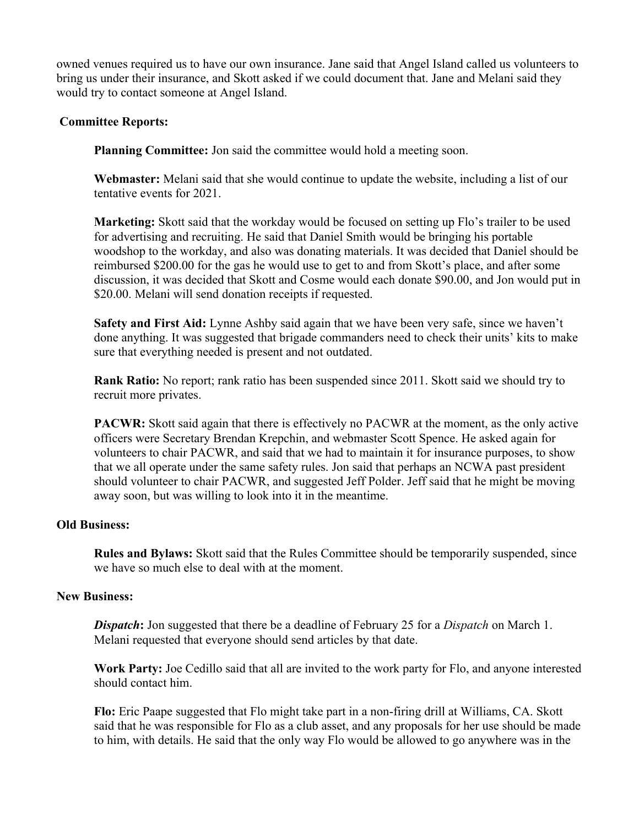owned venues required us to have our own insurance. Jane said that Angel Island called us volunteers to bring us under their insurance, and Skott asked if we could document that. Jane and Melani said they would try to contact someone at Angel Island.

### **Committee Reports:**

**Planning Committee:** Jon said the committee would hold a meeting soon.

**Webmaster:** Melani said that she would continue to update the website, including a list of our tentative events for 2021.

**Marketing:** Skott said that the workday would be focused on setting up Flo's trailer to be used for advertising and recruiting. He said that Daniel Smith would be bringing his portable woodshop to the workday, and also was donating materials. It was decided that Daniel should be reimbursed \$200.00 for the gas he would use to get to and from Skott's place, and after some discussion, it was decided that Skott and Cosme would each donate \$90.00, and Jon would put in \$20.00. Melani will send donation receipts if requested.

**Safety and First Aid:** Lynne Ashby said again that we have been very safe, since we haven't done anything. It was suggested that brigade commanders need to check their units' kits to make sure that everything needed is present and not outdated.

**Rank Ratio:** No report; rank ratio has been suspended since 2011. Skott said we should try to recruit more privates.

**PACWR:** Skott said again that there is effectively no PACWR at the moment, as the only active officers were Secretary Brendan Krepchin, and webmaster Scott Spence. He asked again for volunteers to chair PACWR, and said that we had to maintain it for insurance purposes, to show that we all operate under the same safety rules. Jon said that perhaps an NCWA past president should volunteer to chair PACWR, and suggested Jeff Polder. Jeff said that he might be moving away soon, but was willing to look into it in the meantime.

### **Old Business:**

**Rules and Bylaws:** Skott said that the Rules Committee should be temporarily suspended, since we have so much else to deal with at the moment.

#### **New Business:**

*Dispatch*: Jon suggested that there be a deadline of February 25 for a *Dispatch* on March 1. Melani requested that everyone should send articles by that date.

**Work Party:** Joe Cedillo said that all are invited to the work party for Flo, and anyone interested should contact him.

**Flo:** Eric Paape suggested that Flo might take part in a non-firing drill at Williams, CA. Skott said that he was responsible for Flo as a club asset, and any proposals for her use should be made to him, with details. He said that the only way Flo would be allowed to go anywhere was in the